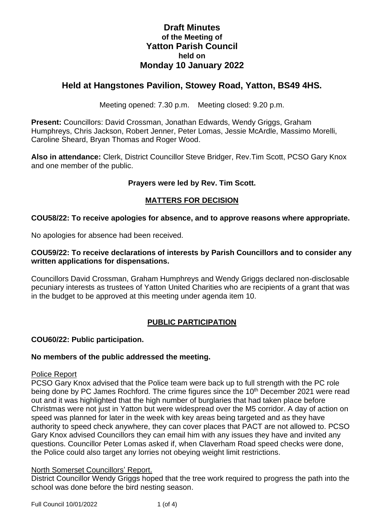# **Draft Minutes of the Meeting of Yatton Parish Council held on Monday 10 January 2022**

# **Held at Hangstones Pavilion, Stowey Road, Yatton, BS49 4HS.**

Meeting opened: 7.30 p.m. Meeting closed: 9.20 p.m.

**Present:** Councillors: David Crossman, Jonathan Edwards, Wendy Griggs, Graham Humphreys, Chris Jackson, Robert Jenner, Peter Lomas, Jessie McArdle, Massimo Morelli, Caroline Sheard, Bryan Thomas and Roger Wood.

**Also in attendance:** Clerk, District Councillor Steve Bridger, Rev.Tim Scott, PCSO Gary Knox and one member of the public.

### **Prayers were led by Rev. Tim Scott.**

### **MATTERS FOR DECISION**

### **COU58/22: To receive apologies for absence, and to approve reasons where appropriate.**

No apologies for absence had been received.

#### **COU59/22: To receive declarations of interests by Parish Councillors and to consider any written applications for dispensations.**

Councillors David Crossman, Graham Humphreys and Wendy Griggs declared non-disclosable pecuniary interests as trustees of Yatton United Charities who are recipients of a grant that was in the budget to be approved at this meeting under agenda item 10.

# **PUBLIC PARTICIPATION**

### **COU60/22: Public participation.**

#### **No members of the public addressed the meeting.**

#### Police Report

PCSO Gary Knox advised that the Police team were back up to full strength with the PC role being done by PC James Rochford. The crime figures since the 10<sup>th</sup> December 2021 were read out and it was highlighted that the high number of burglaries that had taken place before Christmas were not just in Yatton but were widespread over the M5 corridor. A day of action on speed was planned for later in the week with key areas being targeted and as they have authority to speed check anywhere, they can cover places that PACT are not allowed to. PCSO Gary Knox advised Councillors they can email him with any issues they have and invited any questions. Councillor Peter Lomas asked if, when Claverham Road speed checks were done, the Police could also target any lorries not obeying weight limit restrictions.

#### North Somerset Councillors' Report.

District Councillor Wendy Griggs hoped that the tree work required to progress the path into the school was done before the bird nesting season.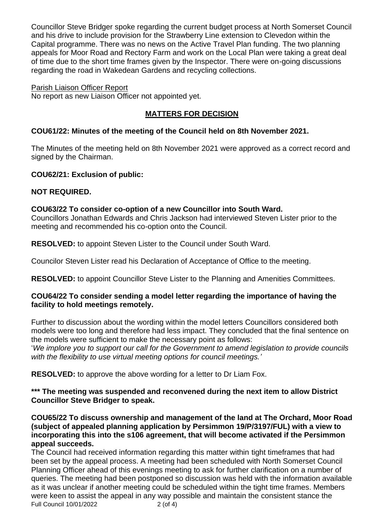Councillor Steve Bridger spoke regarding the current budget process at North Somerset Council and his drive to include provision for the Strawberry Line extension to Clevedon within the Capital programme. There was no news on the Active Travel Plan funding. The two planning appeals for Moor Road and Rectory Farm and work on the Local Plan were taking a great deal of time due to the short time frames given by the Inspector. There were on-going discussions regarding the road in Wakedean Gardens and recycling collections.

### Parish Liaison Officer Report

No report as new Liaison Officer not appointed yet.

## **MATTERS FOR DECISION**

### **COU61/22: Minutes of the meeting of the Council held on 8th November 2021.**

The Minutes of the meeting held on 8th November 2021 were approved as a correct record and signed by the Chairman.

### **COU62/21: Exclusion of public:**

# **NOT REQUIRED.**

### **COU63/22 To consider co-option of a new Councillor into South Ward.**

Councillors Jonathan Edwards and Chris Jackson had interviewed Steven Lister prior to the meeting and recommended his co-option onto the Council.

**RESOLVED:** to appoint Steven Lister to the Council under South Ward.

Councilor Steven Lister read his Declaration of Acceptance of Office to the meeting.

**RESOLVED:** to appoint Councillor Steve Lister to the Planning and Amenities Committees.

### **COU64/22 To consider sending a model letter regarding the importance of having the facility to hold meetings remotely.**

Further to discussion about the wording within the model letters Councillors considered both models were too long and therefore had less impact. They concluded that the final sentence on the models were sufficient to make the necessary point as follows:

'*We implore you to support our call for the Government to amend legislation to provide councils with the flexibility to use virtual meeting options for council meetings.'*

**RESOLVED:** to approve the above wording for a letter to Dr Liam Fox.

### **\*\*\* The meeting was suspended and reconvened during the next item to allow District Councillor Steve Bridger to speak.**

**COU65/22 To discuss ownership and management of the land at The Orchard, Moor Road (subject of appealed planning application by Persimmon 19/P/3197/FUL) with a view to incorporating this into the s106 agreement, that will become activated if the Persimmon appeal succeeds.**

Full Council 10/01/2022 2 (of 4) The Council had received information regarding this matter within tight timeframes that had been set by the appeal process. A meeting had been scheduled with North Somerset Council Planning Officer ahead of this evenings meeting to ask for further clarification on a number of queries. The meeting had been postponed so discussion was held with the information available as it was unclear if another meeting could be scheduled within the tight time frames. Members were keen to assist the appeal in any way possible and maintain the consistent stance the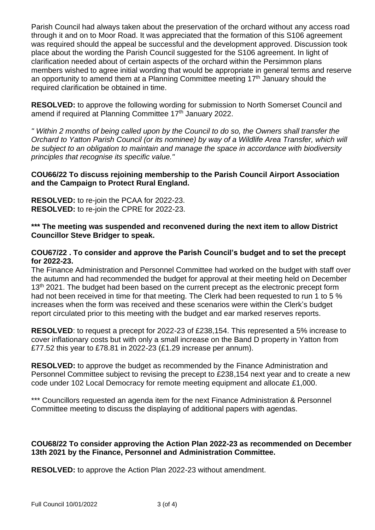Parish Council had always taken about the preservation of the orchard without any access road through it and on to Moor Road. It was appreciated that the formation of this S106 agreement was required should the appeal be successful and the development approved. Discussion took place about the wording the Parish Council suggested for the S106 agreement. In light of clarification needed about of certain aspects of the orchard within the Persimmon plans members wished to agree initial wording that would be appropriate in general terms and reserve an opportunity to amend them at a Planning Committee meeting  $17<sup>th</sup>$  January should the required clarification be obtained in time.

**RESOLVED:** to approve the following wording for submission to North Somerset Council and amend if required at Planning Committee 17<sup>th</sup> January 2022.

*" Within 2 months of being called upon by the Council to do so, the Owners shall transfer the Orchard to Yatton Parish Council (or its nominee) by way of a Wildlife Area Transfer, which will be subject to an obligation to maintain and manage the space in accordance with biodiversity principles that recognise its specific value."*

### **COU66/22 To discuss rejoining membership to the Parish Council Airport Association and the Campaign to Protect Rural England.**

**RESOLVED:** to re-join the PCAA for 2022-23. **RESOLVED:** to re-join the CPRE for 2022-23.

### **\*\*\* The meeting was suspended and reconvened during the next item to allow District Councillor Steve Bridger to speak.**

### **COU67/22 . To consider and approve the Parish Council's budget and to set the precept for 2022-23.**

The Finance Administration and Personnel Committee had worked on the budget with staff over the autumn and had recommended the budget for approval at their meeting held on December 13<sup>th</sup> 2021. The budget had been based on the current precept as the electronic precept form had not been received in time for that meeting. The Clerk had been requested to run 1 to 5 % increases when the form was received and these scenarios were within the Clerk's budget report circulated prior to this meeting with the budget and ear marked reserves reports.

**RESOLVED**: to request a precept for 2022-23 of £238,154. This represented a 5% increase to cover inflationary costs but with only a small increase on the Band D property in Yatton from £77.52 this year to £78.81 in 2022-23 (£1.29 increase per annum).

**RESOLVED:** to approve the budget as recommended by the Finance Administration and Personnel Committee subject to revising the precept to £238,154 next year and to create a new code under 102 Local Democracy for remote meeting equipment and allocate £1,000.

\*\*\* Councillors requested an agenda item for the next Finance Administration & Personnel Committee meeting to discuss the displaying of additional papers with agendas.

### **COU68/22 To consider approving the Action Plan 2022-23 as recommended on December 13th 2021 by the Finance, Personnel and Administration Committee.**

**RESOLVED:** to approve the Action Plan 2022-23 without amendment.